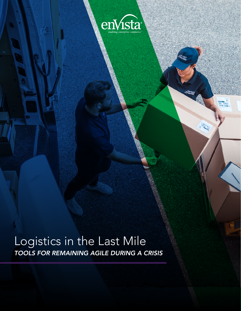

**SOELINGS** 

**MARINER** 

Logistics in the Last Mile *TOOLS FOR REMAINING AGILE DURING A CRISIS*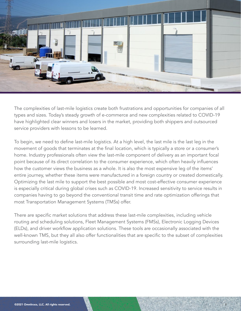

The complexities of last-mile logistics create both frustrations and opportunities for companies of all types and sizes. Today's steady growth of e-commerce and new complexities related to COVID-19 have highlighted clear winners and losers in the market, providing both shippers and outsourced service providers with lessons to be learned.

To begin, we need to define last-mile logistics. At a high level, the last mile is the last leg in the movement of goods that terminates at the final location, which is typically a store or a consumer's home. Industry professionals often view the last-mile component of delivery as an important focal point because of its direct correlation to the consumer experience, which often heavily influences how the customer views the business as a whole. It is also the most expensive leg of the items' entire journey, whether these items were manufactured in a foreign country or created domestically. Optimizing the last mile to support the best possible and most cost-effective consumer experience is especially critical during global crises such as COVID-19. Increased sensitivity to service results in companies having to go beyond the conventional transit time and rate optimization offerings that most Transportation Management Systems (TMSs) offer.

There are specific market solutions that address these last-mile complexities, including vehicle routing and scheduling solutions, Fleet Management Systems (FMSs), Electronic Logging Devices (ELDs), and driver workflow application solutions. These tools are occasionally associated with the well-known TMS, but they all also offer functionalities that are specific to the subset of complexities surrounding last-mile logistics.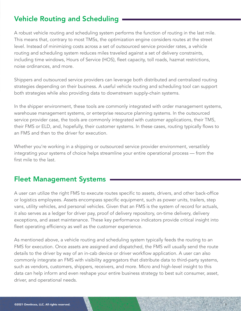# Vehicle Routing and Scheduling

A robust vehicle routing and scheduling system performs the function of routing in the last mile. This means that, contrary to most TMSs, the optimization engine considers routes at the street level. Instead of minimizing costs across a set of outsourced service provider rates, a vehicle routing and scheduling system reduces miles traveled against a set of delivery constraints, including time windows, Hours of Service (HOS), fleet capacity, toll roads, hazmat restrictions, noise ordinances, and more.

Shippers and outsourced service providers can leverage both distributed and centralized routing strategies depending on their business. A useful vehicle routing and scheduling tool can support both strategies while also providing data to downstream supply-chain systems.

In the shipper environment, these tools are commonly integrated with order management systems, warehouse management systems, or enterprise resource planning systems. In the outsourced service provider case, the tools are commonly integrated with customer applications, their TMS, their FMS or ELD, and, hopefully, their customer systems. In these cases, routing typically flows to an FMS and then to the driver for execution.

Whether you're working in a shipping or outsourced service provider environment, versatilely integrating your systems of choice helps streamline your entire operational process — from the first mile to the last.

### Fleet Management Systems

A user can utilize the right FMS to execute routes specific to assets, drivers, and other back-office or logistics employees. Assets encompass specific equipment, such as power units, trailers, step vans, utility vehicles, and personal vehicles. Given that an FMS is the system of record for actuals, it also serves as a ledger for driver pay, proof of delivery repository, on-time delivery, delivery exceptions, and asset maintenance. These key performance indicators provide critical insight into fleet operating efficiency as well as the customer experience.

As mentioned above, a vehicle routing and scheduling system typically feeds the routing to an FMS for execution. Once assets are assigned and dispatched, the FMS will usually send the route details to the driver by way of an in-cab device or driver workflow application. A user can also commonly integrate an FMS with visibility aggregators that distribute data to third-party systems, such as vendors, customers, shippers, receivers, and more. Micro and high-level insight to this data can help inform and even reshape your entire business strategy to best suit consumer, asset, driver, and operational needs.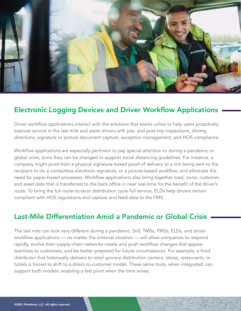

#### Electronic Logging Devices and Driver Workflow Applications

Driver workflow applications interact with the solutions that teams utilize to help users proactively execute service in the last mile and assist drivers with pre- and post-trip inspections, driving directions, signature or picture document capture, exception management, and HOS compliance.

Workflow applications are especially pertinent to pay special attention to during a pandemic or global crisis, since they can be changed to support social distancing guidelines. For instance, a company might pivot from a physical signature-based proof of delivery to a link being sent to the recipient to do a contactless electronic signature, or a picture-based workflow, and eliminate the need for paper-based processes. Workflow applications also bring together load, route, customer, and asset data that is transferred to the back office in near real-time for the benefit of the driver's route. To bring the full route-to-door distribution cycle full service, ELDs help drivers remain compliant with HOS regulations and capture and feed data to the FMS.

#### Last-Mile Differentiation Amid a Pandemic or Global Crisis

The last mile can look very different during a pandemic. Still, TMSs, FMSs, ELDs, and driver workflow applications — no matter the external situation — will allow companies to respond rapidly, evolve their supply-chain networks create and push workflow changes that appear seamless to customers, and be better prepared for future circumstances. For example, a food distributor that historically delivers to retail grocery distribution centers, stores, restaurants, or hotels is forced to shift to a direct-to-customer model. These same tools, when integrated, can support both models, enabling a fast pivot when the time arises.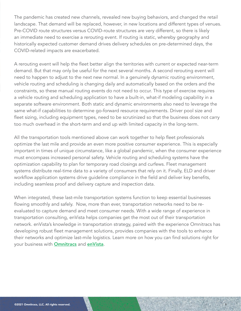The pandemic has created new channels, revealed new buying behaviors, and changed the retail landscape. That demand will be replaced, however, in new locations and different types of venues. Pre-COVID route structures versus COVID-route structures are very different, so there is likely an immediate need to exercise a rerouting event. If routing is static, whereby geography and historically expected customer demand drives delivery schedules on pre-determined days, the COVID-related impacts are exacerbated.

A rerouting event will help the fleet better align the territories with current or expected near-term demand. But that may only be useful for the next several months. A second rerouting event will need to happen to adjust to the next new normal. In a genuinely dynamic routing environment, vehicle routing and scheduling is changing daily and automatically based on the orders and the constraints, so these manual routing events do not need to occur. This type of exercise requires a vehicle routing and scheduling application to have a built-in, what-if modeling capability in a separate software environment. Both static and dynamic environments also need to leverage the same what-if capabilities to determine go-forward resource requirements. Driver pool size and fleet sizing, including equipment types, need to be scrutinized so that the business does not carry too much overhead in the short-term and end up with limited capacity in the long-term.

All the transportation tools mentioned above can work together to help fleet professionals optimize the last mile and provide an even more positive consumer experience. This is especially important in times of unique circumstance, like a global pandemic, when the consumer experience must encompass increased personal safety. Vehicle routing and scheduling systems have the optimization capability to plan for temporary road closings and curfews. Fleet management systems distribute real-time data to a variety of consumers that rely on it. Finally, ELD and driver workflow application systems drive guideline compliance in the field and deliver key benefits, including seamless proof and delivery capture and inspection data.

When integrated, these last-mile transportation systems function to keep essential businesses flowing smoothly and safely. Now, more than ever, transportation networks need to be reevaluated to capture demand and meet consumer needs. With a wide range of experience in transportation consulting, enVista helps companies get the most out of their transportation network. enVista's knowledge in transportation strategy, paired with the experience Omnitracs has developing robust fleet management solutions, provides companies with the tools to enhance their networks and optimize last-mile logistics. Learn more on how you can find solutions right for your business with **[Omnitracs](https://www.omnitracs.com/)** and **[enVista](https://www.envistacorp.com/)**.